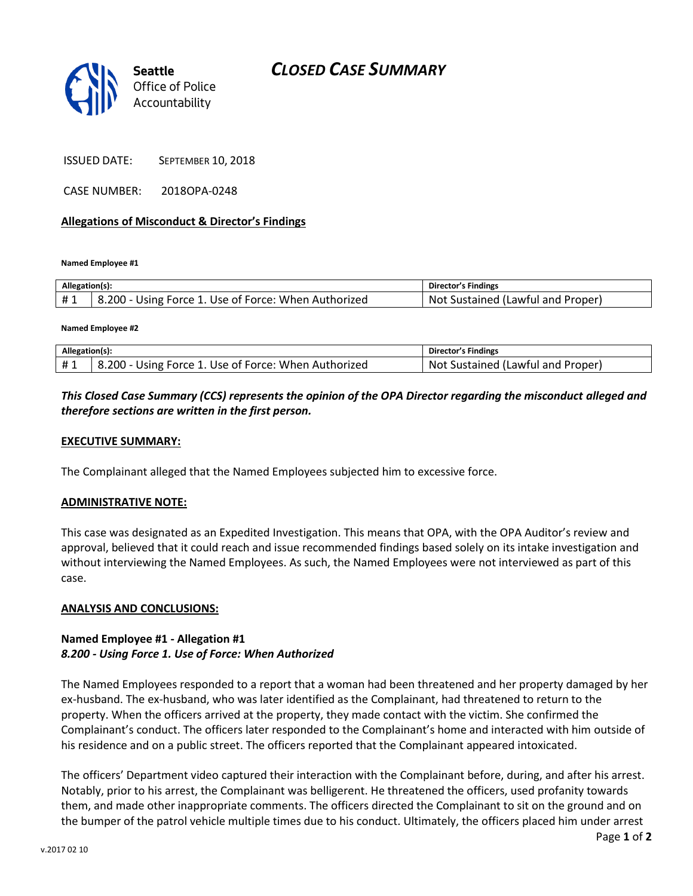



#### ISSUED DATE: SEPTEMBER 10, 2018

CASE NUMBER: 2018OPA-0248

## **Allegations of Misconduct & Director's Findings**

**Named Employee #1**

| Allegation(s): |                                                      | Director's Findings               |
|----------------|------------------------------------------------------|-----------------------------------|
| #1             | 8.200 - Using Force 1. Use of Force: When Authorized | Not Sustained (Lawful and Proper) |

**Named Employee #2**

| Allegation(s): |                                                      | Director's Findings               |
|----------------|------------------------------------------------------|-----------------------------------|
| #1             | 8.200 - Using Force 1. Use of Force: When Authorized | Not Sustained (Lawful and Proper) |

# *This Closed Case Summary (CCS) represents the opinion of the OPA Director regarding the misconduct alleged and therefore sections are written in the first person.*

## **EXECUTIVE SUMMARY:**

The Complainant alleged that the Named Employees subjected him to excessive force.

#### **ADMINISTRATIVE NOTE:**

This case was designated as an Expedited Investigation. This means that OPA, with the OPA Auditor's review and approval, believed that it could reach and issue recommended findings based solely on its intake investigation and without interviewing the Named Employees. As such, the Named Employees were not interviewed as part of this case.

#### **ANALYSIS AND CONCLUSIONS:**

## **Named Employee #1 - Allegation #1** *8.200 - Using Force 1. Use of Force: When Authorized*

The Named Employees responded to a report that a woman had been threatened and her property damaged by her ex-husband. The ex-husband, who was later identified as the Complainant, had threatened to return to the property. When the officers arrived at the property, they made contact with the victim. She confirmed the Complainant's conduct. The officers later responded to the Complainant's home and interacted with him outside of his residence and on a public street. The officers reported that the Complainant appeared intoxicated.

The officers' Department video captured their interaction with the Complainant before, during, and after his arrest. Notably, prior to his arrest, the Complainant was belligerent. He threatened the officers, used profanity towards them, and made other inappropriate comments. The officers directed the Complainant to sit on the ground and on the bumper of the patrol vehicle multiple times due to his conduct. Ultimately, the officers placed him under arrest